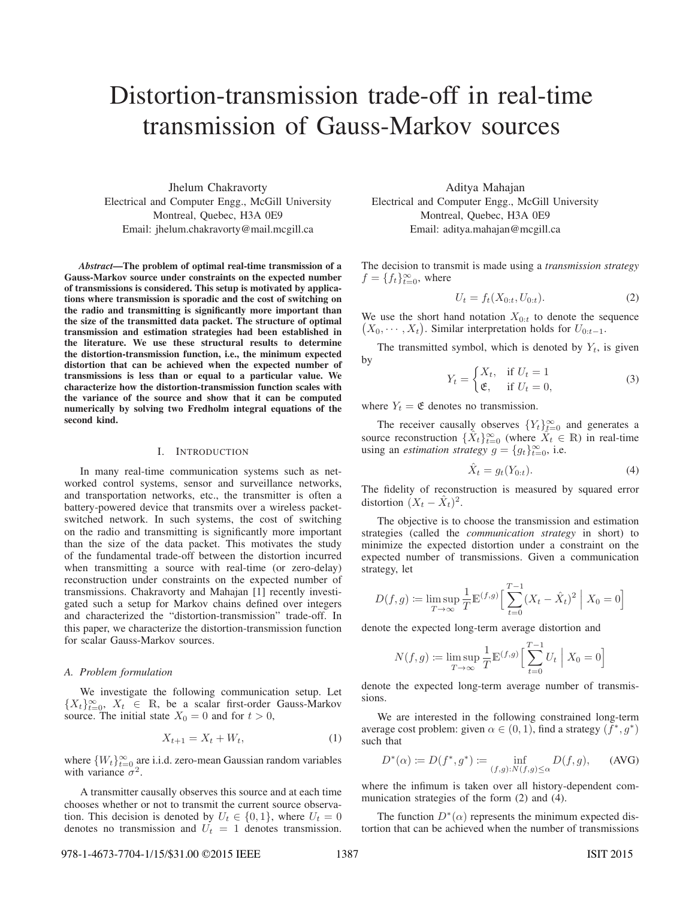# Distortion-transmission trade-off in real-time transmission of Gauss-Markov sources

Jhelum Chakravorty Electrical and Computer Engg., McGill University Montreal, Quebec, H3A 0E9 Email: jhelum.chakravorty@mail.mcgill.ca

*Abstract*—The problem of optimal real-time transmission of a Gauss-Markov source under constraints on the expected number of transmissions is considered. This setup is motivated by applications where transmission is sporadic and the cost of switching on the radio and transmitting is significantly more important than the size of the transmitted data packet. The structure of optimal transmission and estimation strategies had been established in the literature. We use these structural results to determine the distortion-transmission function, i.e., the minimum expected distortion that can be achieved when the expected number of transmissions is less than or equal to a particular value. We characterize how the distortion-transmission function scales with the variance of the source and show that it can be computed numerically by solving two Fredholm integral equations of the second kind.

#### I. INTRODUCTION

In many real-time communication systems such as networked control systems, sensor and surveillance networks, and transportation networks, etc., the transmitter is often a battery-powered device that transmits over a wireless packetswitched network. In such systems, the cost of switching on the radio and transmitting is significantly more important than the size of the data packet. This motivates the study of the fundamental trade-off between the distortion incurred when transmitting a source with real-time (or zero-delay) reconstruction under constraints on the expected number of transmissions. Chakravorty and Mahajan [1] recently investigated such a setup for Markov chains defined over integers and characterized the "distortion-transmission" trade-off. In this paper, we characterize the distortion-transmission function for scalar Gauss-Markov sources.

#### *A. Problem formulation*

We investigate the following communication setup. Let  ${X_t}_{t=0}^{\infty}$ ,  $X_t \in \mathbb{R}$ , be a scalar first-order Gauss-Markov source. The initial state  $X_0 = 0$  and for  $t > 0$ source. The initial state  $X_0 = 0$  and for  $t > 0$ ,

$$
X_{t+1} = X_t + W_t, \tag{1}
$$

where  $\{W_t\}_{t=0}^{\infty}$  are i.i.d. zero-mean Gaussian random variables<br>with variance  $\sigma^2$ with variance  $\sigma^2$ .

A transmitter causally observes this source and at each time chooses whether or not to transmit the current source observation. This decision is denoted by  $U_t \in \{0, 1\}$ , where  $U_t = 0$ denotes no transmission and  $U_t = 1$  denotes transmission.

Aditya Mahajan Electrical and Computer Engg., McGill University Montreal, Quebec, H3A 0E9 Email: aditya.mahajan@mcgill.ca

The decision to transmit is made using a *transmission strategy*  $f = \{f_t\}_{t=0}^{\infty}$ , where

$$
U_t = f_t(X_{0:t}, U_{0:t}).
$$
\n(2)

We use the short hand notation  $X_{0:t}$  to denote the sequence  $(X_0, \dots, X_t)$ . Similar interpretation holds for  $U_{0:t-1}$ .

The transmitted symbol, which is denoted by  $Y_t$ , is given by

$$
Y_t = \begin{cases} X_t, & \text{if } U_t = 1\\ \mathfrak{E}, & \text{if } U_t = 0, \end{cases}
$$
 (3)

where  $Y_t = \mathfrak{E}$  denotes no transmission.

The receiver causally observes  ${Y_t}_{t=0}^{\infty}$  and generates a<br>reconstruction  $\{\hat{Y}_t\}^{\infty}$  (where  $\hat{Y}_t \subset \mathbb{R}$ ) in real time source reconstruction  $\{\hat{X}_t\}_{t=0}^{\infty}$  (where  $\hat{X}_t \in \mathbb{R}$ ) in real-time using an *estimation strategy*  $g = \{g_t\}_{t=0}^{\infty}$ , i.e.

$$
\hat{X}_t = g_t(Y_{0:t}).\tag{4}
$$

The fidelity of reconstruction is measured by squared error distortion  $(X_t - \hat{X}_t)^2$ .

The objective is to choose the transmission and estimation strategies (called the *communication strategy* in short) to minimize the expected distortion under a constraint on the expected number of transmissions. Given a communication strategy, let

$$
D(f,g) := \limsup_{T \to \infty} \frac{1}{T} \mathbb{E}^{(f,g)} \Big[ \sum_{t=0}^{T-1} (X_t - \hat{X}_t)^2 \Big| X_0 = 0 \Big]
$$

denote the expected long-term average distortion and

$$
N(f,g) := \limsup_{T \to \infty} \frac{1}{T} \mathbb{E}^{(f,g)} \Big[ \sum_{t=0}^{T-1} U_t \Big| X_0 = 0 \Big]
$$

denote the expected long-term average number of transmissions.

We are interested in the following constrained long-term average cost problem: given  $\alpha \in (0, 1)$ , find a strategy  $(f^*, g^*)$ such that

$$
D^*(\alpha) \coloneqq D(f^*, g^*) \coloneqq \inf_{(f,g): N(f,g) \le \alpha} D(f,g), \qquad \text{(AVG)}
$$

where the infimum is taken over all history-dependent communication strategies of the form (2) and (4).

The function  $D^*(\alpha)$  represents the minimum expected distortion that can be achieved when the number of transmissions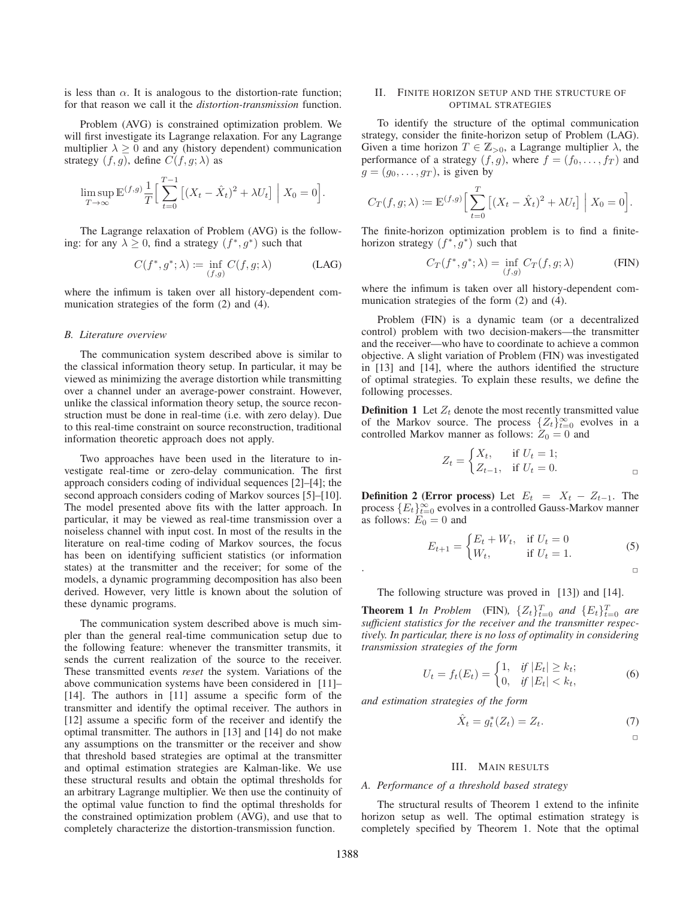is less than  $\alpha$ . It is analogous to the distortion-rate function; for that reason we call it the *distortion-transmission* function.

Problem (AVG) is constrained optimization problem. We will first investigate its Lagrange relaxation. For any Lagrange multiplier  $\lambda \geq 0$  and any (history dependent) communication strategy  $(f, g)$ , define  $C(f, g; \lambda)$  as

$$
\limsup_{T \to \infty} \mathbb{E}^{(f,g)} \frac{1}{T} \Big[ \sum_{t=0}^{T-1} \left[ (X_t - \hat{X}_t)^2 + \lambda U_t \right] \Big| X_0 = 0 \Big].
$$

The Lagrange relaxation of Problem (AVG) is the following: for any  $\lambda \geq 0$ , find a strategy  $(f^*, g^*)$  such that

$$
C(f^*, g^*; \lambda) := \inf_{(f,g)} C(f, g; \lambda)
$$
 (LAG)

where the infimum is taken over all history-dependent communication strategies of the form (2) and (4).

#### *B. Literature overview*

The communication system described above is similar to the classical information theory setup. In particular, it may be viewed as minimizing the average distortion while transmitting over a channel under an average-power constraint. However, unlike the classical information theory setup, the source reconstruction must be done in real-time (i.e. with zero delay). Due to this real-time constraint on source reconstruction, traditional information theoretic approach does not apply.

Two approaches have been used in the literature to investigate real-time or zero-delay communication. The first approach considers coding of individual sequences [2]–[4]; the second approach considers coding of Markov sources [5]–[10]. The model presented above fits with the latter approach. In particular, it may be viewed as real-time transmission over a noiseless channel with input cost. In most of the results in the literature on real-time coding of Markov sources, the focus has been on identifying sufficient statistics (or information states) at the transmitter and the receiver; for some of the models, a dynamic programming decomposition has also been derived. However, very little is known about the solution of these dynamic programs.

The communication system described above is much simpler than the general real-time communication setup due to the following feature: whenever the transmitter transmits, it sends the current realization of the source to the receiver. These transmitted events *reset* the system. Variations of the above communication systems have been considered in [11]– [14]. The authors in [11] assume a specific form of the transmitter and identify the optimal receiver. The authors in [12] assume a specific form of the receiver and identify the optimal transmitter. The authors in [13] and [14] do not make any assumptions on the transmitter or the receiver and show that threshold based strategies are optimal at the transmitter and optimal estimation strategies are Kalman-like. We use these structural results and obtain the optimal thresholds for an arbitrary Lagrange multiplier. We then use the continuity of the optimal value function to find the optimal thresholds for the constrained optimization problem (AVG), and use that to completely characterize the distortion-transmission function.

# II. FINITE HORIZON SETUP AND THE STRUCTURE OF OPTIMAL STRATEGIES

To identify the structure of the optimal communication strategy, consider the finite-horizon setup of Problem (LAG). Given a time horizon  $T \in \mathbb{Z}_{>0}$ , a Lagrange multiplier  $\lambda$ , the performance of a strategy  $(f, g)$ , where  $f = (f_0, \ldots, f_T)$  and  $g = (g_0, \ldots, g_T)$ , is given by

$$
C_T(f, g; \lambda) := \mathbb{E}^{(f,g)} \Big[ \sum_{t=0}^T \big[ (X_t - \hat{X}_t)^2 + \lambda U_t \big] \Big| X_0 = 0 \Big].
$$

The finite-horizon optimization problem is to find a finitehorizon strategy  $(f^*, g^*)$  such that

$$
C_T(f^*, g^*; \lambda) = \inf_{(f,g)} C_T(f, g; \lambda)
$$
 (FIN)

where the infimum is taken over all history-dependent communication strategies of the form (2) and (4).

Problem (FIN) is a dynamic team (or a decentralized control) problem with two decision-makers—the transmitter and the receiver—who have to coordinate to achieve a common objective. A slight variation of Problem (FIN) was investigated in [13] and [14], where the authors identified the structure of optimal strategies. To explain these results, we define the following processes.

**Definition 1** Let  $Z_t$  denote the most recently transmitted value of the Markov source. The process  $\{Z_t\}_{t=0}^{\infty}$  evolves in a controlled Markov manner as follows:  $Z_0 = 0$  and controlled Markov manner as follows:  $Z_0 = 0$  and

$$
Z_t = \begin{cases} X_t, & \text{if } U_t = 1; \\ Z_{t-1}, & \text{if } U_t = 0. \end{cases}
$$

**Definition 2 (Error process)** Let  $E_t = X_t - Z_{t-1}$ . The process  ${E_t}_{t=0}^{\infty}$  evolves in a controlled Gauss-Markov manner<br>as follows:  $E_0 = 0$  and as follows:  $E_0 = 0$  and

$$
E_{t+1} = \begin{cases} E_t + W_t, & \text{if } U_t = 0\\ W_t, & \text{if } U_t = 1. \end{cases}
$$
 (5)

The following structure was proved in [13]) and [14].

**Theorem 1** In Problem (FIN),  ${Z_t}_{t=0}^{T}$  and  ${E_t}_{t=0}^{T}$  are sufficient statistics for the receiver and the transmitter respec*sufficient statistics for the receiver and the transmitter respectively. In particular, there is no loss of optimality in considering transmission strategies of the form*

$$
U_t = f_t(E_t) = \begin{cases} 1, & \text{if } |E_t| \ge k_t; \\ 0, & \text{if } |E_t| < k_t, \end{cases} \tag{6}
$$

*and estimation strategies of the form*

$$
\hat{X}_t = g_t^*(Z_t) = Z_t.
$$
 (7)

 $\Box$ 

#### III. MAIN RESULTS

#### *A. Performance of a threshold based strategy*

The structural results of Theorem 1 extend to the infinite horizon setup as well. The optimal estimation strategy is completely specified by Theorem 1. Note that the optimal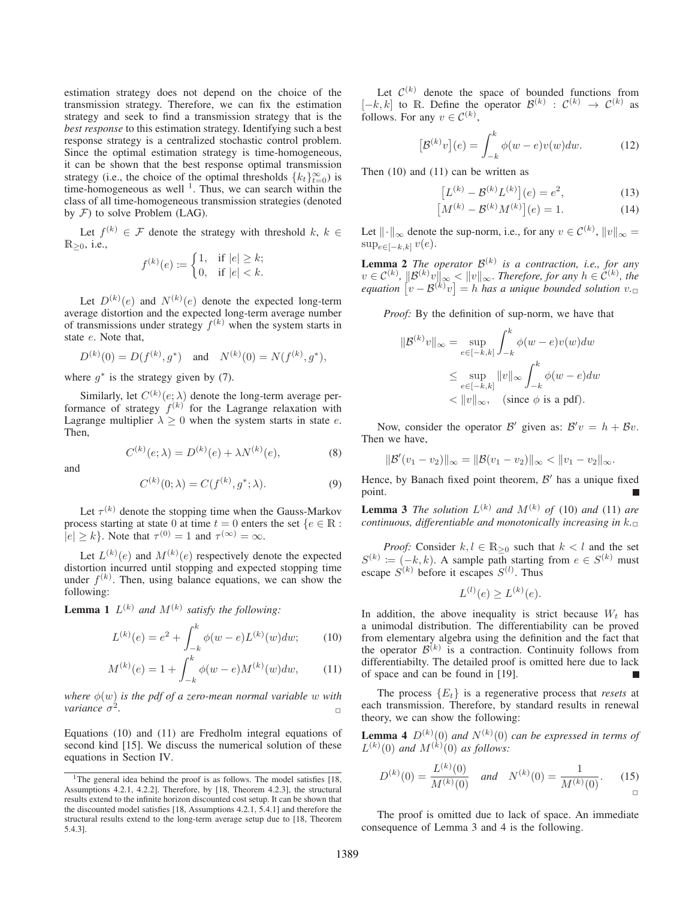estimation strategy does not depend on the choice of the transmission strategy. Therefore, we can fix the estimation strategy and seek to find a transmission strategy that is the *best response* to this estimation strategy. Identifying such a best response strategy is a centralized stochastic control problem. Since the optimal estimation strategy is time-homogeneous, it can be shown that the best response optimal transmission strategy (i.e., the choice of the optimal thresholds  ${k_t}_{\infty}^{\infty}$ ) is time-homogeneous as well <sup>1</sup>. Thus we can search within the time-homogeneous as well  $<sup>1</sup>$ . Thus, we can search within the</sup> class of all time-homogeneous transmission strategies (denoted by  $F$ ) to solve Problem (LAG).

Let  $f^{(k)} \in \mathcal{F}$  denote the strategy with threshold  $k, k \in \mathcal{F}$  $\mathbb{R}_{\geq 0}$ , i.e.,

$$
f^{(k)}(e) := \begin{cases} 1, & \text{if } |e| \ge k; \\ 0, & \text{if } |e| < k. \end{cases}
$$

Let  $D^{(k)}(e)$  and  $N^{(k)}(e)$  denote the expected long-term average distortion and the expected long-term average number of transmissions under strategy  $f^{(k)}$  when the system starts in state e. Note that,

$$
D^{(k)}(0) = D(f^{(k)}, g^*)
$$
 and  $N^{(k)}(0) = N(f^{(k)}, g^*),$ 

where  $q^*$  is the strategy given by (7).

Similarly, let  $C^{(k)}(e; \lambda)$  denote the long-term average performance of strategy  $f^{(k)}$  for the Lagrange relaxation with Lagrange multiplier  $\lambda \geq 0$  when the system starts in state e. Then,

$$
C^{(k)}(e; \lambda) = D^{(k)}(e) + \lambda N^{(k)}(e), \tag{8}
$$

and

$$
C^{(k)}(0; \lambda) = C(f^{(k)}, g^*; \lambda).
$$
 (9)

Let  $\tau^{(k)}$  denote the stopping time when the Gauss-Markov process starting at state 0 at time  $t = 0$  enters the set  $\{e \in \mathbb{R} :$  $|e| > k$ . Note that  $\tau^{(0)} = 1$  and  $\tau^{(\infty)} = \infty$ .

Let  $L^{(k)}(e)$  and  $M^{(k)}(e)$  respectively denote the expected distortion incurred until stopping and expected stopping time under  $f^{(k)}$ . Then, using balance equations, we can show the following:

**Lemma 1**  $L^{(k)}$  *and*  $M^{(k)}$  *satisfy the following:* 

$$
L^{(k)}(e) = e^2 + \int_{-k}^{k} \phi(w - e) L^{(k)}(w) dw; \qquad (10)
$$

$$
M^{(k)}(e) = 1 + \int_{-k}^{k} \phi(w - e) M^{(k)}(w) dw,
$$
 (11)

*where*  $\phi(w)$  *is the pdf of a zero-mean normal variable* w *with variance*  $\sigma^2$ .

Equations (10) and (11) are Fredholm integral equations of second kind [15]. We discuss the numerical solution of these equations in Section IV.

Let  $\mathcal{C}^{(k)}$  denote the space of bounded functions from  $[-k, k]$  to R. Define the operator  $\mathcal{B}^{(k)}$  :  $\mathcal{C}^{(k)} \rightarrow \mathcal{C}^{(k)}$  as follows. For any  $v \in C^{(k)}$ ,

$$
[\mathcal{B}^{(k)}v](e) = \int_{-k}^{k} \phi(w - e)v(w)dw.
$$
 (12)

Then (10) and (11) can be written as

$$
[L^{(k)} - \mathcal{B}^{(k)} L^{(k)}](e) = e^2,
$$
 (13)

$$
[M^{(k)} - \mathcal{B}^{(k)} M^{(k)}](e) = 1.
$$
 (14)

Let  $\|\cdot\|_{\infty}$  denote the sup-norm, i.e., for any  $v \in C^{(k)}$ ,  $\|v\|_{\infty} =$  $\sup_{e \in [-k,k]} v(e).$ 

**Lemma 2** *The operator*  $\mathcal{B}^{(k)}$  *is a contraction, i.e., for any*  $v \in C^{(k)}$ ,  $\|\mathcal{B}^{(k)}v\|_{\infty} < \|v\|_{\infty}$ . *Therefore, for any*  $h \in C^{(k)}$ , the  $\mathit{equation}\;\left[v-\mathcal{B}^{(k)}v\right]=h$  has a unique bounded solution  $v.\Box$ 

*Proof:* By the definition of sup-norm, we have that

$$
||\mathcal{B}^{(k)}v||_{\infty} = \sup_{e \in [-k,k]} \int_{-k}^{k} \phi(w-e)v(w)dw
$$
  
\n
$$
\leq \sup_{e \in [-k,k]} ||v||_{\infty} \int_{-k}^{k} \phi(w-e)dw
$$
  
\n
$$
< ||v||_{\infty}, \text{ (since } \phi \text{ is a pdf).}
$$

Now, consider the operator B' given as:  $B'v = h + Bv$ . Then we have,

$$
\|\mathcal{B}'(v_1-v_2)\|_{\infty}=\|\mathcal{B}(v_1-v_2)\|_{\infty}<\|v_1-v_2\|_{\infty}.
$$

Hence, by Banach fixed point theorem,  $\mathcal{B}'$  has a unique fixed point.

**Lemma 3** *The solution*  $L^{(k)}$  *and*  $M^{(k)}$  *of* (10) *and* (11) *are continuous, differentiable and monotonically increasing in*  $k_{\square}$ 

*Proof:* Consider  $k, l \in \mathbb{R}_{\geq 0}$  such that  $k < l$  and the set  $S^{(k)} := (-k, k)$ . A sample path starting from  $e \in S^{(k)}$  must escape  $S^{(k)}$  before it escapes  $S^{(l)}$ . Thus

$$
L^{(l)}(e) \ge L^{(k)}(e).
$$

In addition, the above inequality is strict because  $W_t$  has a unimodal distribution. The differentiability can be proved from elementary algebra using the definition and the fact that the operator  $\mathcal{B}^{(k)}$  is a contraction. Continuity follows from differentiabilty. The detailed proof is omitted here due to lack of space and can be found in [19].

The process  $\{E_t\}$  is a regenerative process that *resets* at each transmission. Therefore, by standard results in renewal theory, we can show the following:

**Lemma 4**  $D^{(k)}(0)$  and  $N^{(k)}(0)$  can be expressed in terms of  $L^{(k)}(0)$  and  $M^{(k)}(0)$  as follows:

$$
D^{(k)}(0) = \frac{L^{(k)}(0)}{M^{(k)}(0)} \quad \text{and} \quad N^{(k)}(0) = \frac{1}{M^{(k)}(0)}.\tag{15}
$$

The proof is omitted due to lack of space. An immediate consequence of Lemma 3 and 4 is the following.

<sup>&</sup>lt;sup>1</sup>The general idea behind the proof is as follows. The model satisfies [18, Assumptions 4.2.1, 4.2.2]. Therefore, by [18, Theorem 4.2.3], the structural results extend to the infinite horizon discounted cost setup. It can be shown that the discounted model satisfies [18, Assumptions 4.2.1, 5.4.1] and therefore the structural results extend to the long-term average setup due to [18, Theorem 5.4.3].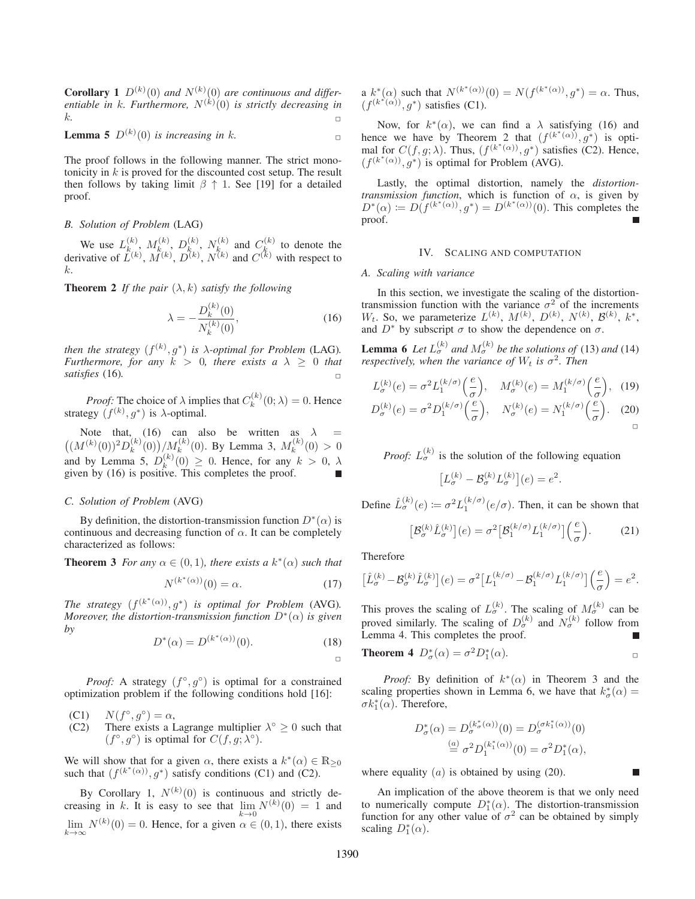**Corollary** 1  $D^{(k)}(0)$  and  $N^{(k)}(0)$  are continuous and differ*entiable in* k*. Furthermore,* N(k) (0) *is strictly decreasing in*  $k.$ 

**Lemma 5** 
$$
D^{(k)}(0)
$$
 is increasing in k.

The proof follows in the following manner. The strict monotonicity in k is proved for the discounted cost setup. The result then follows by taking limit  $\beta \uparrow 1$ . See [19] for a detailed proof.

# *B. Solution of Problem* (LAG)

We use  $L_k^{(k)}$ ,  $M_k^{(k)}$ ,  $D_k^{(k)}$ ,  $N_k^{(k)}$  and  $C_k^{(k)}$  to denote the derivative of  $L^{(k)}$ ,  $M^{(k)}$ ,  $D^{(k)}$ ,  $N^{(k)}$  and  $C^{(k)}$  with respect to k.

**Theorem 2** *If the pair*  $(\lambda, k)$  *satisfy the following* 

$$
\lambda = -\frac{D_k^{(k)}(0)}{N_k^{(k)}(0)},\tag{16}
$$

*then the strategy*  $(f^{(k)}, g^*)$  *is*  $\lambda$ *-optimal for Problem* (LAG). *Furthermore, for any*  $k > 0$ *, there exists a*  $\lambda \geq 0$  *that satisfies* (16).

*Proof:* The choice of  $\lambda$  implies that  $C_k^{(k)}(0; \lambda) = 0$ . Hence strategy  $(f^{(k)}, g^*)$  is  $\lambda$ -optimal.

Note that, (16) can also be written as  $\lambda =$  $((M^{(k)}(0))^2 D_k^{(k)}(0))/M_k^{(k)}(0)$ . By Lemma 3,  $M_k^{(k)}(0) > 0$ and by Lemma 5,  $D_k^{(k)}(0) \ge 0$ . Hence, for any  $k > 0$ ,  $\lambda$  given by (16) is positive. This completes the proof given by (16) is positive. This completes the proof.

# *C. Solution of Problem* (AVG)

By definition, the distortion-transmission function  $D^*(\alpha)$  is continuous and decreasing function of  $\alpha$ . It can be completely characterized as follows:

**Theorem 3** *For any*  $\alpha \in (0,1)$ *, there exists a*  $k^*(\alpha)$  *such that* 

$$
N^{(k^*(\alpha))}(0) = \alpha.
$$
 (17)

*The strategy*  $(f^{(k^*(\alpha))}, q^*)$  *is optimal for Problem* (AVG). *Moreover, the distortion-transmission function*  $D^*(\alpha)$  *is given by*

$$
D^*(\alpha) = D^{(k^*(\alpha))}(0). \tag{18}
$$

 $\Box$ 

*Proof:* A strategy  $(f^{\circ}, g^{\circ})$  is optimal for a constrained optimization problem if the following conditions hold [16]:

- (C1)  $N(f^{\circ}, g^{\circ}) = \alpha$ ,<br>(C2) There exists a L
- There exists a Lagrange multiplier  $\lambda^\circ \geq 0$  such that  $(f^{\circ}, g^{\circ})$  is optimal for  $C(f, g; \lambda^{\circ})$ .

We will show that for a given  $\alpha$ , there exists a  $k^*(\alpha) \in \mathbb{R}_{\geq 0}$ such that  $(f^{(k^*(\alpha))}, g^*)$  satisfy conditions (C1) and (C2).

By Corollary 1,  $N^{(k)}(0)$  is continuous and strictly decreasing in k. It is easy to see that  $\lim_{n \to \infty} N^{(k)}(0) = 1$  and  $\lim_{k\to\infty} N^{(k)}(0) = 0$ . Hence, for a given  $\alpha \in (0, 1)$ , there exists a  $k^*(\alpha)$  such that  $N^{(k^*(\alpha))}(0) = N(f^{(k^*(\alpha))}, g^*) = \alpha$ . Thus,  $(f^{(k^*(\alpha))}, g^*)$  satisfies (C1).

Now, for  $k^*(\alpha)$ , we can find a  $\lambda$  satisfying (16) and hence we have by Theorem 2 that  $(f^{(k^*(\alpha))}, g^*)$  is optimal for  $C(f,g;\lambda)$ . Thus,  $(f^{(k^*(\alpha))},g^*)$  satisfies (C2). Hence,  $(f^{(k^*(\alpha))}, g^*)$  is optimal for Problem (AVG).

Lastly, the optimal distortion, namely the *distortiontransmission function*, which is function of  $\alpha$ , is given by  $D^*(\alpha) := D(f^{(k^*(\alpha))}, g^*) = D^{(k^*(\alpha))}(0)$ . This completes the proof.

#### IV. SCALING AND COMPUTATION

# *A. Scaling with variance*

In this section, we investigate the scaling of the distortiontransmission function with the variance  $\sigma^2$  of the increments  $W_t$ . So, we parameterize  $L^{(k)}$ ,  $M^{(k)}$ ,  $D^{(k)}$ ,  $N^{(k)}$ ,  $\mathcal{B}^{(k)}$ ,  $k^*$ , and  $D^*$  by subscript  $\sigma$  to show the dependence on  $\sigma$ .

**Lemma 6** *Let*  $L_{\sigma}^{(k)}$  *and*  $M_{\sigma}^{(k)}$  *be the solutions of* (13) *and* (14) *respectively, when the variance of*  $W_t$  *is*  $\sigma^2$ *. Then* 

$$
L_{\sigma}^{(k)}(e) = \sigma^2 L_1^{(k/\sigma)}\left(\frac{e}{\sigma}\right), \quad M_{\sigma}^{(k)}(e) = M_1^{(k/\sigma)}\left(\frac{e}{\sigma}\right), \quad (19)
$$

$$
D_{\sigma}^{(k)}(e) = \sigma^2 D_1^{(k/\sigma)}\left(\frac{e}{\sigma}\right), \quad N_{\sigma}^{(k)}(e) = N_1^{(k/\sigma)}\left(\frac{e}{\sigma}\right). \quad (20)
$$

*Proof:*  $L_{\sigma}^{(k)}$  is the solution of the following equation

$$
\left[L_{\sigma}^{(k)} - \mathcal{B}_{\sigma}^{(k)} L_{\sigma}^{(k)}\right](e) = e^2.
$$

Define  $\hat{L}_{\sigma}^{(k)}(e) \coloneqq \sigma^2 L_1^{(k/\sigma)}(e/\sigma)$ . Then, it can be shown that

$$
\left[\mathcal{B}_{\sigma}^{(k)}\hat{L}_{\sigma}^{(k)}\right](e) = \sigma^2 \left[\mathcal{B}_1^{(k/\sigma)}L_1^{(k/\sigma)}\right]\left(\frac{e}{\sigma}\right). \tag{21}
$$

Therefore

$$
\big[\hat{L}_{\sigma}^{(k)}-\mathcal{B}_{\sigma}^{(k)}\hat{L}_{\sigma}^{(k)}\big](e) = \sigma^2 \big[L_1^{(k/\sigma)}-\mathcal{B}_1^{(k/\sigma)}L_1^{(k/\sigma)}\big]\left(\frac{e}{\sigma}\right) = e^2.
$$

This proves the scaling of  $L_{\sigma}^{(k)}$ . The scaling of  $M_{\sigma}^{(k)}$  can be proved similarly. The scaling of  $D_{\sigma}^{(k)}$  and  $N_{\sigma}^{(k)}$  follow from Lemma 4. This completes the proof.

**Theorem 4** 
$$
D^*_{\sigma}(\alpha) = \sigma^2 D^*_1(\alpha)
$$
.

*Proof:* By definition of  $k^*(\alpha)$  in Theorem 3 and the scaling properties shown in Lemma 6, we have that  $k^*_{\sigma}(\alpha) = \sigma k^* (\alpha)$ . Therefore  $\sigma k_1^*(\alpha)$ . Therefore,

$$
D^*_{\sigma}(\alpha) = D^{(k^*_{\sigma}(\alpha))}_{\sigma}(0) = D^{(\sigma k^*_{1}(\alpha))}_{\sigma}(0)
$$
  

$$
\stackrel{(a)}{=} \sigma^2 D^{(k^*_{1}(\alpha))}_{1}(0) = \sigma^2 D^*_{1}(\alpha),
$$

г

where equality  $(a)$  is obtained by using (20).

An implication of the above theorem is that we only need to numerically compute  $D_1^*(\alpha)$ . The distortion-transmission function for any other value of  $\sigma^2$  can be obtained by simply scaling  $D_1^*(\alpha)$ .